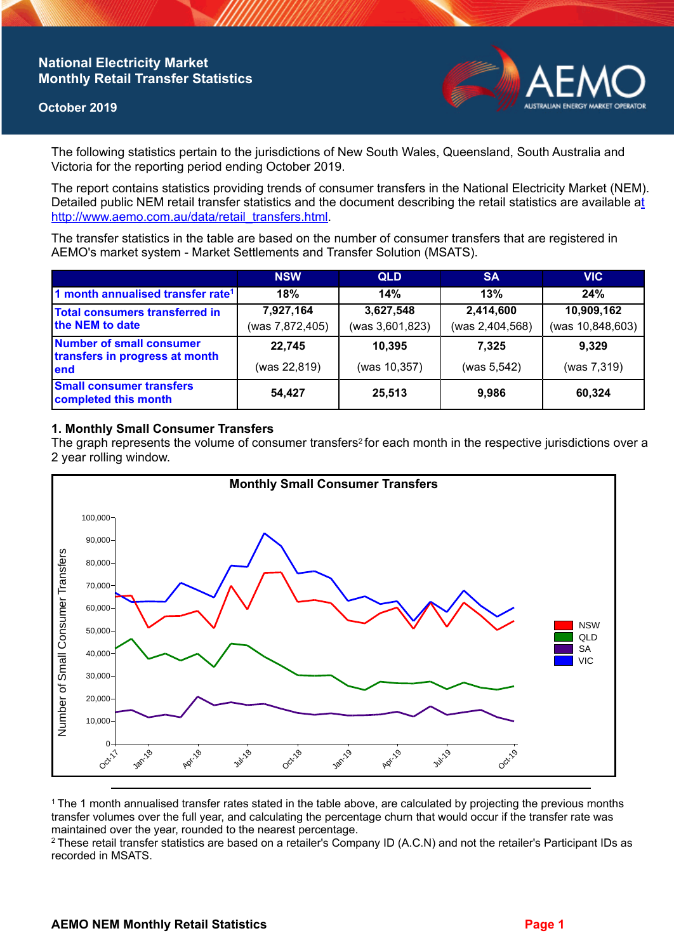## **National Electricity Market Monthly Retail Transfer Statistics**

### **October 2019**



The following statistics pertain to the jurisdictions of New South Wales, Queensland, South Australia and Victoria for the reporting period ending October 2019.

The report contains statistics providing trends of consumer transfers in the National Electricity Market (NEM). Detailed public NEM retail transfer statistics and the document describing the retail statistics are available a[t](http://www.aemo.com.au/data/retail_transfers.html)  http://www.aemo.com.au/data/retail\_transfers.html

The transfer statistics in the table are based on the number of consumer transfers that are registered in AEMO's market system - Market Settlements and Transfer Solution (MSATS).

|                                                                    | <b>NSW</b>                   | <b>QLD</b>                   | <b>SA</b>                    | <b>VIC</b>                     |
|--------------------------------------------------------------------|------------------------------|------------------------------|------------------------------|--------------------------------|
| 1 month annualised transfer rate <sup>1</sup>                      | 18%                          | 14%                          | 13%                          | 24%                            |
| <b>Total consumers transferred in</b><br>the NEM to date           | 7,927,164<br>(was 7,872,405) | 3,627,548<br>(was 3,601,823) | 2,414,600<br>(was 2,404,568) | 10,909,162<br>(was 10,848,603) |
| Number of small consumer<br>transfers in progress at month<br>lend | 22,745<br>(was 22,819)       | 10,395<br>(was 10,357)       | 7.325<br>(was 5,542)         | 9.329<br>(was 7,319)           |
| <b>Small consumer transfers</b><br>completed this month            | 54,427                       | 25,513                       | 9,986                        | 60,324                         |

## **1. Monthly Small Consumer Transfers**

The graph represents the volume of consumer transfers<sup>2</sup> for each month in the respective jurisdictions over a 2 year rolling window.



<sup>1</sup>The 1 month annualised transfer rates stated in the table above, are calculated by projecting the previous months transfer volumes over the full year, and calculating the percentage churn that would occur if the transfer rate was maintained over the year, rounded to the nearest percentage.

<sup>2</sup> These retail transfer statistics are based on a retailer's Company ID (A.C.N) and not the retailer's Participant IDs as recorded in MSATS.